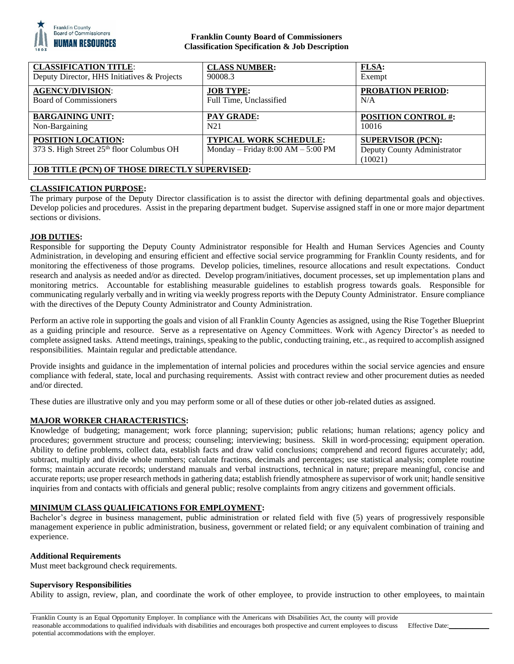

## **Franklin County Board of Commissioners Classification Specification & Job Description**

| <b>CLASSIFICATION TITLE:</b>                                           | <b>CLASS NUMBER:</b>                                          | <b>FLSA:</b>                                                       |
|------------------------------------------------------------------------|---------------------------------------------------------------|--------------------------------------------------------------------|
| Deputy Director, HHS Initiatives & Projects                            | 90008.3                                                       | Exempt                                                             |
| <b>AGENCY/DIVISION:</b>                                                | <b>JOB TYPE:</b>                                              | <b>PROBATION PERIOD:</b>                                           |
| <b>Board of Commissioners</b>                                          | Full Time, Unclassified                                       | N/A                                                                |
| <b>BARGAINING UNIT:</b>                                                | <b>PAY GRADE:</b>                                             | <b>POSITION CONTROL #:</b>                                         |
| Non-Bargaining                                                         | N <sub>2</sub> 1                                              | 10016                                                              |
| <b>POSITION LOCATION:</b><br>373 S. High Street 25th floor Columbus OH | TYPICAL WORK SCHEDULE:<br>Monday – Friday $8:00 AM - 5:00 PM$ | <b>SUPERVISOR (PCN):</b><br>Deputy County Administrator<br>(10021) |
| <b>JOB TITLE (PCN) OF THOSE DIRECTLY SUPERVISED:</b>                   |                                                               |                                                                    |

# **CLASSIFICATION PURPOSE:**

The primary purpose of the Deputy Director classification is to assist the director with defining departmental goals and objectives. Develop policies and procedures. Assist in the preparing department budget. Supervise assigned staff in one or more major department sections or divisions.

## **JOB DUTIES:**

Responsible for supporting the Deputy County Administrator responsible for Health and Human Services Agencies and County Administration, in developing and ensuring efficient and effective social service programming for Franklin County residents, and for monitoring the effectiveness of those programs. Develop policies, timelines, resource allocations and result expectations. Conduct research and analysis as needed and/or as directed. Develop program/initiatives, document processes, set up implementation plans and monitoring metrics. Accountable for establishing measurable guidelines to establish progress towards goals. Responsible for communicating regularly verbally and in writing via weekly progress reports with the Deputy County Administrator. Ensure compliance with the directives of the Deputy County Administrator and County Administration.

Perform an active role in supporting the goals and vision of all Franklin County Agencies as assigned, using the Rise Together Blueprint as a guiding principle and resource. Serve as a representative on Agency Committees. Work with Agency Director's as needed to complete assigned tasks. Attend meetings, trainings, speaking to the public, conducting training, etc., as required to accomplish assigned responsibilities. Maintain regular and predictable attendance.

Provide insights and guidance in the implementation of internal policies and procedures within the social service agencies and ensure compliance with federal, state, local and purchasing requirements. Assist with contract review and other procurement duties as needed and/or directed.

These duties are illustrative only and you may perform some or all of these duties or other job-related duties as assigned.

## **MAJOR WORKER CHARACTERISTICS:**

Knowledge of budgeting; management; work force planning; supervision; public relations; human relations; agency policy and procedures; government structure and process; counseling; interviewing; business. Skill in word-processing; equipment operation. Ability to define problems, collect data, establish facts and draw valid conclusions; comprehend and record figures accurately; add, subtract, multiply and divide whole numbers; calculate fractions, decimals and percentages; use statistical analysis; complete routine forms; maintain accurate records; understand manuals and verbal instructions, technical in nature; prepare meaningful, concise and accurate reports; use proper research methods in gathering data; establish friendly atmosphere as supervisor of work unit; handle sensitive inquiries from and contacts with officials and general public; resolve complaints from angry citizens and government officials.

## **MINIMUM CLASS QUALIFICATIONS FOR EMPLOYMENT:**

Bachelor's degree in business management, public administration or related field with five (5) years of progressively responsible management experience in public administration, business, government or related field; or any equivalent combination of training and experience.

## **Additional Requirements**

Must meet background check requirements.

## **Supervisory Responsibilities**

Ability to assign, review, plan, and coordinate the work of other employee, to provide instruction to other employees, to maintain

Franklin County is an Equal Opportunity Employer. In compliance with the Americans with Disabilities Act, the county will provide reasonable accommodations to qualified individuals with disabilities and encourages both prospective and current employees to discuss potential accommodations with the employer.

Effective Date: